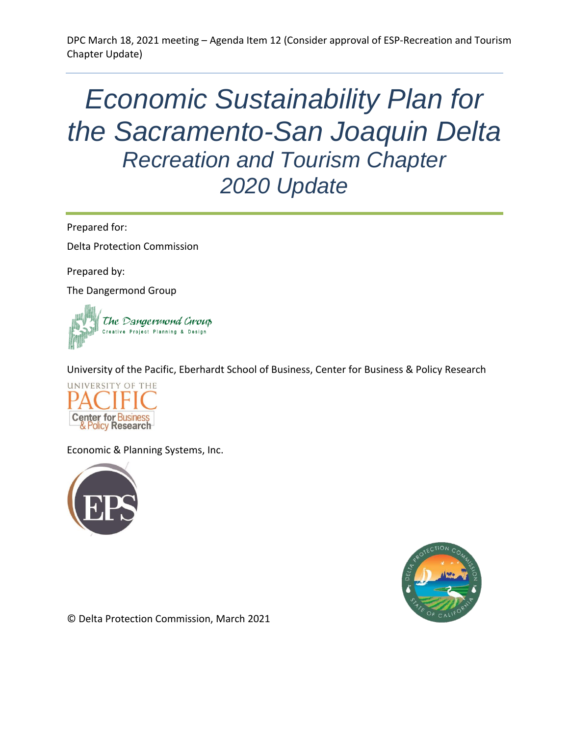# *Economic Sustainability Plan for the Sacramento-San Joaquin Delta Recreation and Tourism Chapter 2020 Update*

Prepared for:

Delta Protection Commission

Prepared by:

The Dangermond Group



University of the Pacific, Eberhardt School of Business, Center for Business & Policy Research



Economic & Planning Systems, Inc.





© Delta Protection Commission, March 2021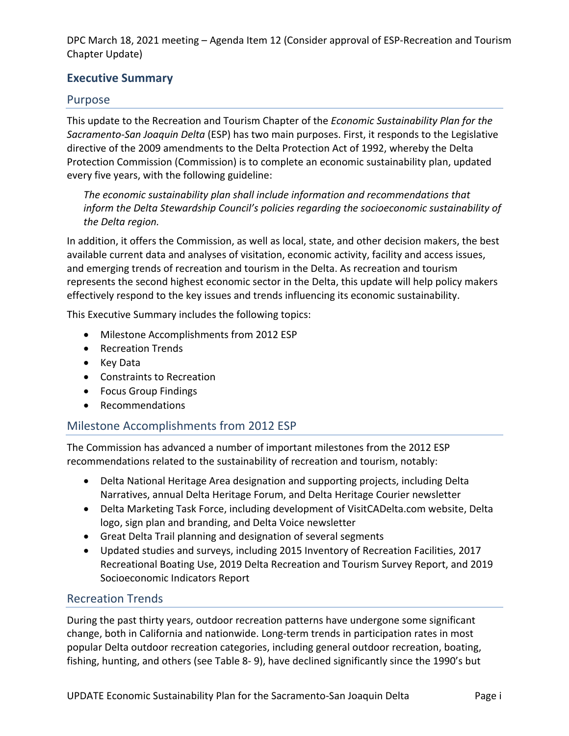### **Executive Summary**

#### Purpose

This update to the Recreation and Tourism Chapter of the *Economic Sustainability Plan for the Sacramento-San Joaquin Delta* (ESP) has two main purposes. First, it responds to the Legislative directive of the 2009 amendments to the Delta Protection Act of 1992, whereby the Delta Protection Commission (Commission) is to complete an economic sustainability plan, updated every five years, with the following guideline:

*The economic sustainability plan shall include information and recommendations that inform the Delta Stewardship Council's policies regarding the socioeconomic sustainability of the Delta region.* 

In addition, it offers the Commission, as well as local, state, and other decision makers, the best available current data and analyses of visitation, economic activity, facility and access issues, and emerging trends of recreation and tourism in the Delta. As recreation and tourism represents the second highest economic sector in the Delta, this update will help policy makers effectively respond to the key issues and trends influencing its economic sustainability.

This Executive Summary includes the following topics:

- Milestone Accomplishments from 2012 ESP
- Recreation Trends
- Key Data
- Constraints to Recreation
- Focus Group Findings
- Recommendations

#### Milestone Accomplishments from 2012 ESP

The Commission has advanced a number of important milestones from the 2012 ESP recommendations related to the sustainability of recreation and tourism, notably:

- Delta National Heritage Area designation and supporting projects, including Delta Narratives, annual Delta Heritage Forum, and Delta Heritage Courier newsletter
- Delta Marketing Task Force, including development of [VisitCADelta.com](http://VisitCADelta.com) website, Delta logo, sign plan and branding, and Delta Voice newsletter
- Great Delta Trail planning and designation of several segments
- Updated studies and surveys, including 2015 Inventory of Recreation Facilities, 2017 Recreational Boating Use, 2019 Delta Recreation and Tourism Survey Report, and 2019 Socioeconomic Indicators Report

#### Recreation Trends

During the past thirty years, outdoor recreation patterns have undergone some significant change, both in California and nationwide. Long-term trends in participation rates in most popular Delta outdoor recreation categories, including general outdoor recreation, boating, fishing, hunting, and others (see Table 8- 9), have declined significantly since the 1990's but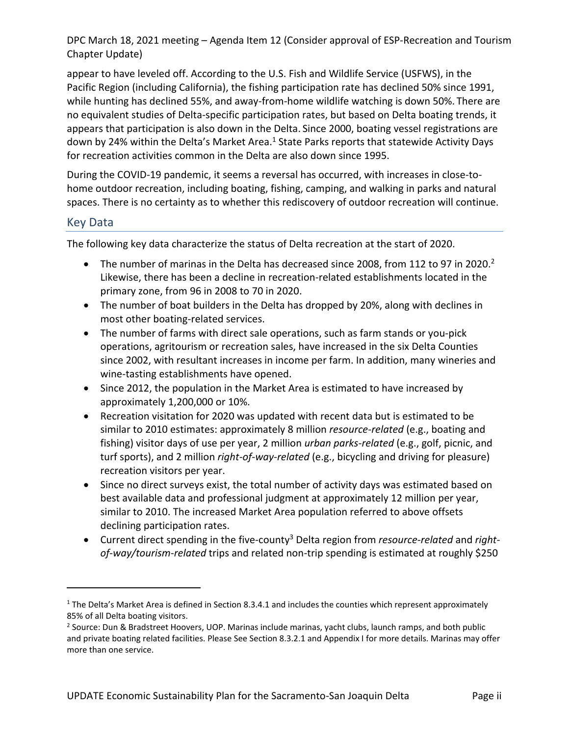appear to have leveled off. According to the U.S. Fish and Wildlife Service (USFWS), in the Pacific Region (including California), the fishing participation rate has declined 50% since 1991, while hunting has declined 55%, and away-from-home wildlife watching is down 50%. There are no equivalent studies of Delta-specific participation rates, but based on Delta boating trends, it appears that participation is also down in the Delta. Since 2000, boating vessel registrations are down by 24% within the Delta's Market Area.<sup>1</sup> State Parks reports that statewide Activity Days for recreation activities common in the Delta are also down since 1995.

During the COVID-19 pandemic, it seems a reversal has occurred, with increases in close-tohome outdoor recreation, including boating, fishing, camping, and walking in parks and natural spaces. There is no certainty as to whether this rediscovery of outdoor recreation will continue.

#### Key Data

The following key data characterize the status of Delta recreation at the start of 2020.

- The number of marinas in the Delta has decreased since 2008, from 112 to 97 in 2020.<sup>2</sup> Likewise, there has been a decline in recreation-related establishments located in the primary zone, from 96 in 2008 to 70 in 2020.
- The number of boat builders in the Delta has dropped by 20%, along with declines in most other boating-related services.
- The number of farms with direct sale operations, such as farm stands or you-pick operations, agritourism or recreation sales, have increased in the six Delta Counties since 2002, with resultant increases in income per farm. In addition, many wineries and wine-tasting establishments have opened.
- Since 2012, the population in the Market Area is estimated to have increased by approximately 1,200,000 or 10%.
- Recreation visitation for 2020 was updated with recent data but is estimated to be similar to 2010 estimates: approximately 8 million *resource-related* (e.g., boating and fishing) visitor days of use per year, 2 million *urban parks-related* (e.g., golf, picnic, and turf sports), and 2 million *right-of-way-related* (e.g., bicycling and driving for pleasure) recreation visitors per year.
- Since no direct surveys exist, the total number of activity days was estimated based on best available data and professional judgment at approximately 12 million per year, similar to 2010. The increased Market Area population referred to above offsets declining participation rates.
- Current direct spending in the five-county<sup>3</sup> Delta region from *resource-related* and *rightof-way/tourism-related* trips and related non-trip spending is estimated at roughly \$250

 $1$  The Delta's Market Area is defined in Section 8.3.4.1 and includes the counties which represent approximately 85% of all Delta boating visitors.

<sup>&</sup>lt;sup>2</sup> Source: Dun & Bradstreet Hoovers, UOP. Marinas include marinas, yacht clubs, launch ramps, and both public and private boating related facilities. Please See Section 8.3.2.1 and Appendix I for more details. Marinas may offer more than one service.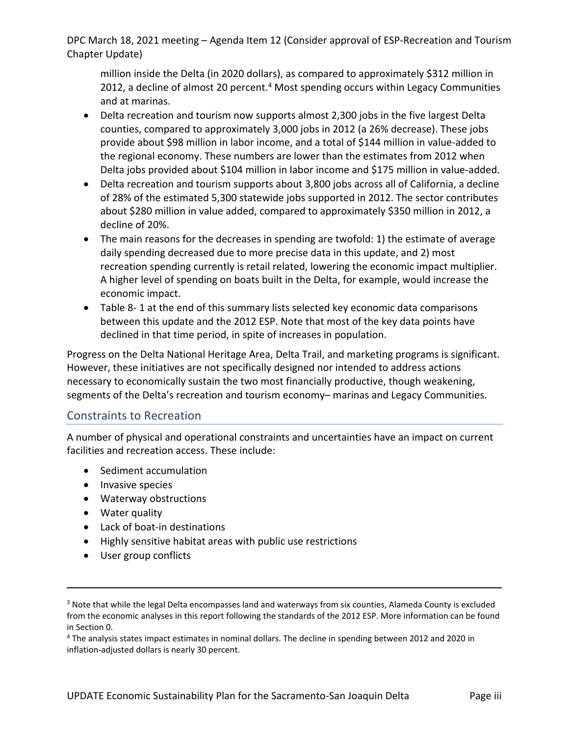million inside the Delta (in 2020 dollars), as compared to approximately \$312 million in 2012, a decline of almost 20 percent.<sup>4</sup> Most spending occurs within Legacy Communities and at marinas.

- Delta recreation and tourism now supports almost 2,300 jobs in the five largest Delta counties, compared to approximately 3,000 jobs in 2012 (a 26% decrease). These jobs provide about \$98 million in labor income, and a total of \$144 million in value-added to the regional economy. These numbers are lower than the estimates from 2012 when Delta jobs provided about \$104 million in labor income and \$175 million in value-added.
- Delta recreation and tourism supports about 3,800 jobs across all of California, a decline of 28% of the estimated 5,300 statewide jobs supported in 2012. The sector contributes about \$280 million in value added, compared to approximately \$350 million in 2012, a decline of 20%.
- The main reasons for the decreases in spending are twofold: 1) the estimate of average daily spending decreased due to more precise data in this update, and 2) most recreation spending currently is retail related, lowering the economic impact multiplier. A higher level of spending on boats built in the Delta, for example, would increase the economic impact.
- [Table 8- 1](#page-6-0) at the end of this summary lists selected key economic data comparisons between this update and the 2012 ESP. Note that most of the key data points have declined in that time period, in spite of increases in population.

Progress on the Delta National Heritage Area, Delta Trail, and marketing programs is significant. However, these initiatives are not specifically designed nor intended to address actions necessary to economically sustain the two most financially productive, though weakening, segments of the Delta's recreation and tourism economy– marinas and Legacy Communities.

#### Constraints to Recreation

A number of physical and operational constraints and uncertainties have an impact on current facilities and recreation access. These include:

- Sediment accumulation
- Invasive species
- Waterway obstructions
- Water quality
- Lack of boat-in destinations
- Highly sensitive habitat areas with public use restrictions
- User group conflicts

<sup>&</sup>lt;sup>3</sup> Note that while the legal Delta encompasses land and waterways from six counties, Alameda County is excluded from the economic analyses in this report following the standards of the 2012 ESP. More information can be found in Section 0.

<sup>&</sup>lt;sup>4</sup> The analysis states impact estimates in nominal dollars. The decline in spending between 2012 and 2020 in inflation-adjusted dollars is nearly 30 percent.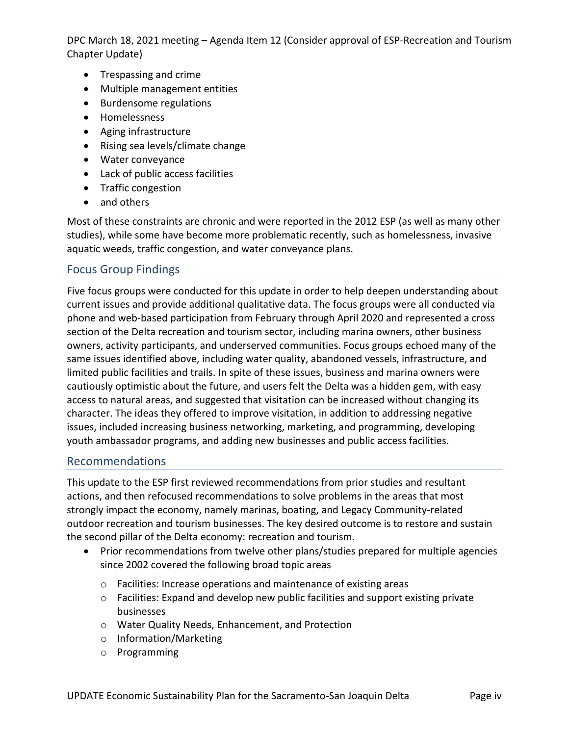- Trespassing and crime
- Multiple management entities
- Burdensome regulations
- Homelessness
- Aging infrastructure
- Rising sea levels/climate change
- Water conveyance
- Lack of public access facilities
- Traffic congestion
- and others

Most of these constraints are chronic and were reported in the 2012 ESP (as well as many other studies), while some have become more problematic recently, such as homelessness, invasive aquatic weeds, traffic congestion, and water conveyance plans.

## Focus Group Findings

Five focus groups were conducted for this update in order to help deepen understanding about current issues and provide additional qualitative data. The focus groups were all conducted via phone and web-based participation from February through April 2020 and represented a cross section of the Delta recreation and tourism sector, including marina owners, other business owners, activity participants, and underserved communities. Focus groups echoed many of the same issues identified above, including water quality, abandoned vessels, infrastructure, and limited public facilities and trails. In spite of these issues, business and marina owners were cautiously optimistic about the future, and users felt the Delta was a hidden gem, with easy access to natural areas, and suggested that visitation can be increased without changing its character. The ideas they offered to improve visitation, in addition to addressing negative issues, included increasing business networking, marketing, and programming, developing youth ambassador programs, and adding new businesses and public access facilities.

#### Recommendations

This update to the ESP first reviewed recommendations from prior studies and resultant actions, and then refocused recommendations to solve problems in the areas that most strongly impact the economy, namely marinas, boating, and Legacy Community-related outdoor recreation and tourism businesses. The key desired outcome is to restore and sustain the second pillar of the Delta economy: recreation and tourism.

- Prior recommendations from twelve other plans/studies prepared for multiple agencies since 2002 covered the following broad topic areas
	- o Facilities: Increase operations and maintenance of existing areas
	- o Facilities: Expand and develop new public facilities and support existing private businesses
	- o Water Quality Needs, Enhancement, and Protection
	- o Information/Marketing
	- o Programming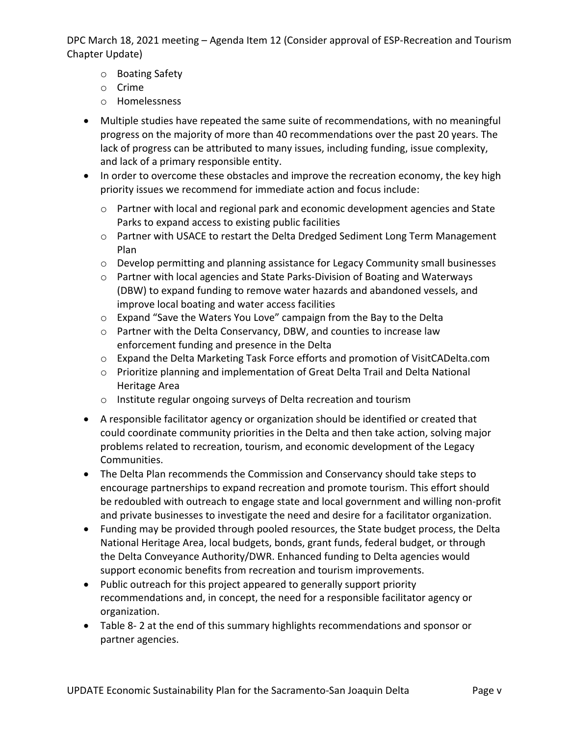- o Boating Safety
- o Crime
- o Homelessness
- Multiple studies have repeated the same suite of recommendations, with no meaningful progress on the majority of more than 40 recommendations over the past 20 years. The lack of progress can be attributed to many issues, including funding, issue complexity, and lack of a primary responsible entity.
- In order to overcome these obstacles and improve the recreation economy, the key high priority issues we recommend for immediate action and focus include:
	- o Partner with local and regional park and economic development agencies and State Parks to expand access to existing public facilities
	- o Partner with USACE to restart the Delta Dredged Sediment Long Term Management Plan
	- $\circ$  Develop permitting and planning assistance for Legacy Community small businesses
	- o Partner with local agencies and State Parks-Division of Boating and Waterways (DBW) to expand funding to remove water hazards and abandoned vessels, and improve local boating and water access facilities
	- o Expand "Save the Waters You Love" campaign from the Bay to the Delta
	- o Partner with the Delta Conservancy, DBW, and counties to increase law enforcement funding and presence in the Delta
	- o Expand the Delta Marketing Task Force efforts and promotion of [VisitCADelta.com](http://VisitCADelta.com)
	- o Prioritize planning and implementation of Great Delta Trail and Delta National Heritage Area
	- o Institute regular ongoing surveys of Delta recreation and tourism
- A responsible facilitator agency or organization should be identified or created that could coordinate community priorities in the Delta and then take action, solving major problems related to recreation, tourism, and economic development of the Legacy Communities.
- The Delta Plan recommends the Commission and Conservancy should take steps to encourage partnerships to expand recreation and promote tourism. This effort should be redoubled with outreach to engage state and local government and willing non-profit and private businesses to investigate the need and desire for a facilitator organization.
- Funding may be provided through pooled resources, the State budget process, the Delta National Heritage Area, local budgets, bonds, grant funds, federal budget, or through the Delta Conveyance Authority/DWR. Enhanced funding to Delta agencies would support economic benefits from recreation and tourism improvements.
- Public outreach for this project appeared to generally support priority recommendations and, in concept, the need for a responsible facilitator agency or organization.
- [Table 8- 2](#page-7-0) at the end of this summary highlights recommendations and sponsor or partner agencies.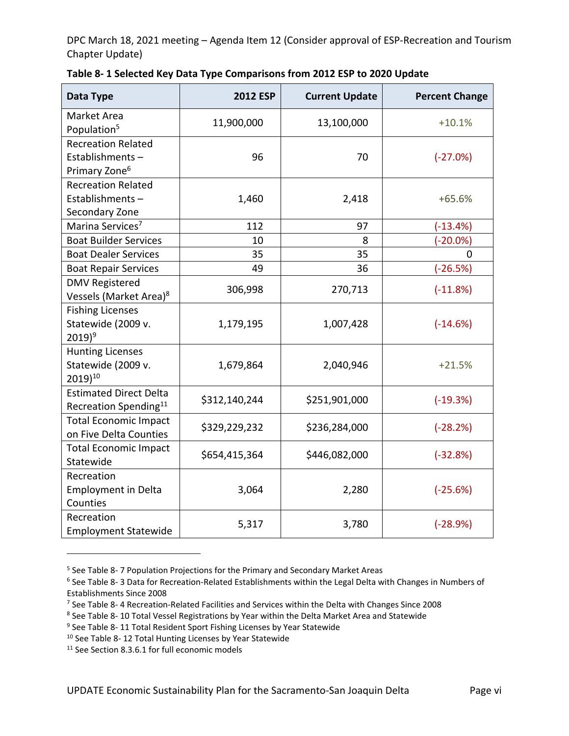| Data Type                                                                 | <b>2012 ESP</b> | <b>Current Update</b> | <b>Percent Change</b> |
|---------------------------------------------------------------------------|-----------------|-----------------------|-----------------------|
| Market Area<br>Population <sup>5</sup>                                    | 11,900,000      | 13,100,000            | $+10.1%$              |
| <b>Recreation Related</b><br>Establishments-<br>Primary Zone <sup>6</sup> | 96              | 70                    | $(-27.0%)$            |
| <b>Recreation Related</b><br>Establishments-<br>Secondary Zone            | 1,460           | 2,418                 | $+65.6%$              |
| Marina Services <sup>7</sup>                                              | 112             | 97                    | $(-13.4%)$            |
| <b>Boat Builder Services</b>                                              | 10              | 8                     | $(-20.0\%)$           |
| <b>Boat Dealer Services</b>                                               | 35              | 35                    | $\mathbf 0$           |
| <b>Boat Repair Services</b>                                               | 49              | 36                    | $(-26.5%)$            |
| <b>DMV Registered</b><br>Vessels (Market Area) <sup>8</sup>               | 306,998         | 270,713               | $(-11.8%)$            |
| <b>Fishing Licenses</b><br>Statewide (2009 v.<br>$2019)^9$                | 1,179,195       | 1,007,428             | $(-14.6%)$            |
| <b>Hunting Licenses</b><br>Statewide (2009 v.<br>2019)10                  | 1,679,864       | 2,040,946             | $+21.5%$              |
| <b>Estimated Direct Delta</b><br>Recreation Spending <sup>11</sup>        | \$312,140,244   | \$251,901,000         | $(-19.3%)$            |
| <b>Total Economic Impact</b><br>on Five Delta Counties                    | \$329,229,232   | \$236,284,000         | $(-28.2%)$            |
| <b>Total Economic Impact</b><br>Statewide                                 | \$654,415,364   | \$446,082,000         | $(-32.8%)$            |
| Recreation<br><b>Employment in Delta</b><br>Counties                      | 3,064           | 2,280                 | $(-25.6%)$            |
| Recreation<br><b>Employment Statewide</b>                                 | 5,317           | 3,780                 | $(-28.9%)$            |

<span id="page-6-0"></span>

| Table 8-1 Selected Key Data Type Comparisons from 2012 ESP to 2020 Update |  |  |
|---------------------------------------------------------------------------|--|--|
|---------------------------------------------------------------------------|--|--|

<sup>&</sup>lt;sup>5</sup> See Table 8-7 Population Projections for the Primary and Secondary Market Areas

<sup>&</sup>lt;sup>6</sup> See Table 8-3 Data for Recreation-Related Establishments within the Legal Delta with Changes in Numbers of Establishments Since 2008

<sup>&</sup>lt;sup>7</sup> See Table 8- 4 Recreation-Related Facilities and Services within the Delta with Changes Since 2008

<sup>&</sup>lt;sup>8</sup> See Table 8- 10 Total Vessel Registrations by Year within the Delta Market Area and Statewide

<sup>&</sup>lt;sup>9</sup> See Table 8- 11 Total Resident Sport Fishing Licenses by Year Statewide

<sup>10</sup> See Table 8- 12 Total Hunting Licenses by Year Statewide

<sup>&</sup>lt;sup>11</sup> See Section 8.3.6.1 for full economic models